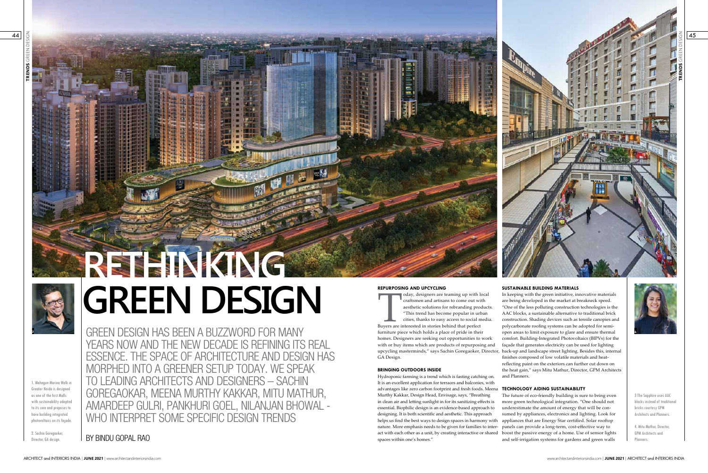**TRENDS** GREEN DESIGN

BY BINDU GOPAL RAO

GREEN DESIGN HAS BEEN A BUZZWORD FOR MANY YEARS NOW AND THE NEW DECADE IS REFINING ITS REAL ESSENCE. THE SPACE OF ARCHITECTURE AND DESIGN HAS MORPHED INTO A GREENER SETUP TODAY. WE SPEAK TO LEADING ARCHITECTS AND DESIGNERS – SACHIN GOREGAOKAR, MEENA MURTHY KAKKAR, MITU MATHUR, AMARDEEP GULRI, PANKHURI GOEL, NILANJAN BHOWAL - WHO INTERPRET SOME SPECIFIC DESIGN TRENDS

1. Mahagun Marina Walk in Greater Noida is designed as one of the first Malls with sustainability adopted to its core and proposes to have building integrated photovoltaics on its façade.

2. Sachin Goregaoker, Director, GA design.



# **RETHINKING GREEN DESIGN <sup>1</sup>**

www.architectandinteriorsindia.com | **JUNE 2021** | ARCHITECT and INTERIORS INDIA

45

# **SUSTAINABLE BUILDING MATERIALS**



advantages like zero carbon footprint and fresh foods. Meena **TECHNOLOGY AIDING SUSTAINABILITY** The future of eco-friendly building is sure to bring even more green technological integration. "One should not underestimate the amount of energy that will be consumed by appliances, electronics and lighting. Look for helps us find the best ways to design spaces in harmony with appliances that are Energy Star certified. Solar rooftop nature. More emphasis needs to be given for families to inter- panels can provide a long-term, cost-effective way to act with each other as a unit, by creating interactive or shared boost the passive energy of a home. Use of sensor lights and self-irrigation systems for gardens and green walls It is an excellent application for terraces and balconies, with Murthy Kakkar, Design Head, Envisage, says, "Breathing in clean air and letting sunlight in for its sanitizing effects is essential. Biophilic design is an evidence-based approach to designing. It is both scientific and aesthetic. This approach spaces within one's homes."

In keeping with the green initiative, innovative materials are being developed in the market at breakneck speed. "One of the less polluting construction technologies is the AAC blocks, a sustainable alternative to traditional brick construction. Shading devices such as tensile canopies and polycarbonate roofing systems can be adopted for semiopen areas to limit exposure to glare and ensure thermal comfort. Building-Integrated Photovoltaics (BIPVs) for the façade that generates electricity can be used for lighting upcycling masterminds," says Sachin Goregaoker, Director, back-up and landscape street lighting. Besides this, internal finishes composed of low volatile materials and heatreflecting paint on the exteriors can further cut down on the heat gain," says Mitu Mathur, Director, GPM Architects and Planners. Today, designers are teaming up with local craftsmen and artisans to come out with aesthetic solutions for rebranding product "This trend has become popular in urban cities, thanks to easy access to social media Buyers are craftsmen and artisans to come out with aesthetic solutions for rebranding products. "This trend has become popular in urban cities, thanks to easy access to social media. furniture piece which holds a place of pride in their homes. Designers are seeking out opportunities to work with or buy items which are products of repurposing and GA Design. **BRINGING OUTDOORS INSIDE** Hydroponic farming is a trend which is fasting catching on.

3 The Sapphire uses AAC blocks instead of traditional bricks courtesy GPM Architects and Planners.

4. Mitu Mathur, Director, GPM Architects and Planners.

# **REPURPOSING AND UPCYCLING**